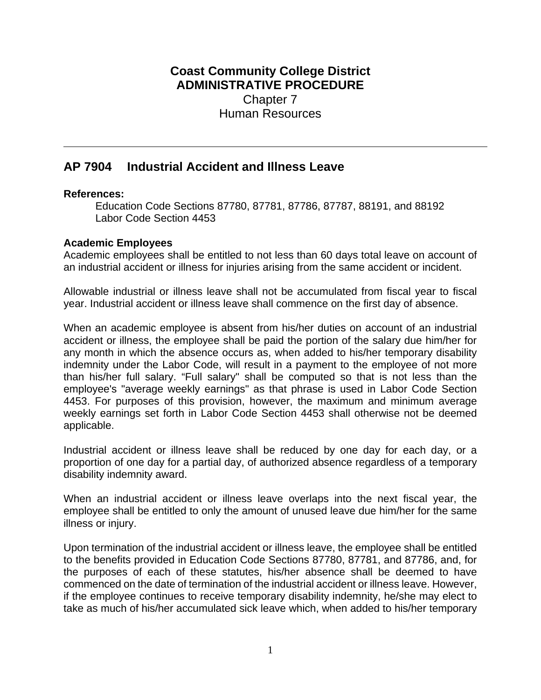## **Coast Community College District ADMINISTRATIVE PROCEDURE** Chapter 7 Human Resources

# **AP 7904 Industrial Accident and Illness Leave**

#### **References:**

Education Code Sections 87780, 87781, 87786, 87787, 88191, and 88192 Labor Code Section 4453

### **Academic Employees**

Academic employees shall be entitled to not less than 60 days total leave on account of an industrial accident or illness for injuries arising from the same accident or incident.

Allowable industrial or illness leave shall not be accumulated from fiscal year to fiscal year. Industrial accident or illness leave shall commence on the first day of absence.

When an academic employee is absent from his/her duties on account of an industrial accident or illness, the employee shall be paid the portion of the salary due him/her for any month in which the absence occurs as, when added to his/her temporary disability indemnity under the Labor Code, will result in a payment to the employee of not more than his/her full salary. "Full salary" shall be computed so that is not less than the employee's "average weekly earnings" as that phrase is used in Labor Code Section 4453. For purposes of this provision, however, the maximum and minimum average weekly earnings set forth in Labor Code Section 4453 shall otherwise not be deemed applicable.

Industrial accident or illness leave shall be reduced by one day for each day, or a proportion of one day for a partial day, of authorized absence regardless of a temporary disability indemnity award.

When an industrial accident or illness leave overlaps into the next fiscal year, the employee shall be entitled to only the amount of unused leave due him/her for the same illness or injury.

Upon termination of the industrial accident or illness leave, the employee shall be entitled to the benefits provided in Education Code Sections 87780, 87781, and 87786, and, for the purposes of each of these statutes, his/her absence shall be deemed to have commenced on the date of termination of the industrial accident or illness leave. However, if the employee continues to receive temporary disability indemnity, he/she may elect to take as much of his/her accumulated sick leave which, when added to his/her temporary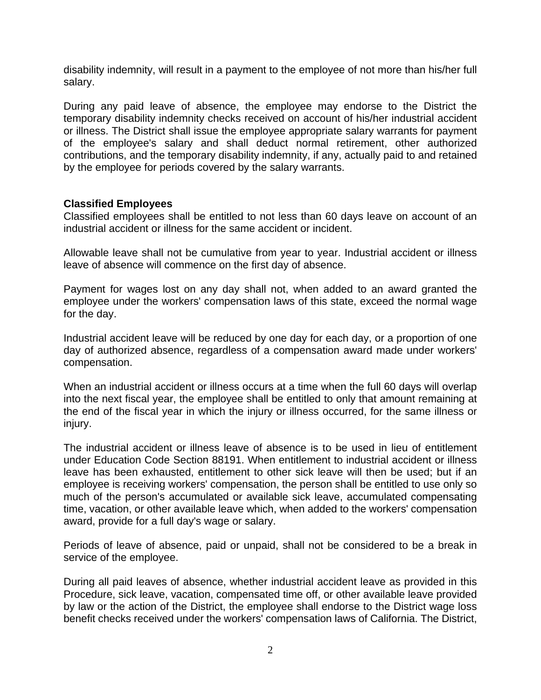disability indemnity, will result in a payment to the employee of not more than his/her full salary.

During any paid leave of absence, the employee may endorse to the District the temporary disability indemnity checks received on account of his/her industrial accident or illness. The District shall issue the employee appropriate salary warrants for payment of the employee's salary and shall deduct normal retirement, other authorized contributions, and the temporary disability indemnity, if any, actually paid to and retained by the employee for periods covered by the salary warrants.

#### **Classified Employees**

Classified employees shall be entitled to not less than 60 days leave on account of an industrial accident or illness for the same accident or incident.

Allowable leave shall not be cumulative from year to year. Industrial accident or illness leave of absence will commence on the first day of absence.

Payment for wages lost on any day shall not, when added to an award granted the employee under the workers' compensation laws of this state, exceed the normal wage for the day.

Industrial accident leave will be reduced by one day for each day, or a proportion of one day of authorized absence, regardless of a compensation award made under workers' compensation.

When an industrial accident or illness occurs at a time when the full 60 days will overlap into the next fiscal year, the employee shall be entitled to only that amount remaining at the end of the fiscal year in which the injury or illness occurred, for the same illness or injury.

The industrial accident or illness leave of absence is to be used in lieu of entitlement under Education Code Section 88191. When entitlement to industrial accident or illness leave has been exhausted, entitlement to other sick leave will then be used; but if an employee is receiving workers' compensation, the person shall be entitled to use only so much of the person's accumulated or available sick leave, accumulated compensating time, vacation, or other available leave which, when added to the workers' compensation award, provide for a full day's wage or salary.

Periods of leave of absence, paid or unpaid, shall not be considered to be a break in service of the employee.

During all paid leaves of absence, whether industrial accident leave as provided in this Procedure, sick leave, vacation, compensated time off, or other available leave provided by law or the action of the District, the employee shall endorse to the District wage loss benefit checks received under the workers' compensation laws of California. The District,